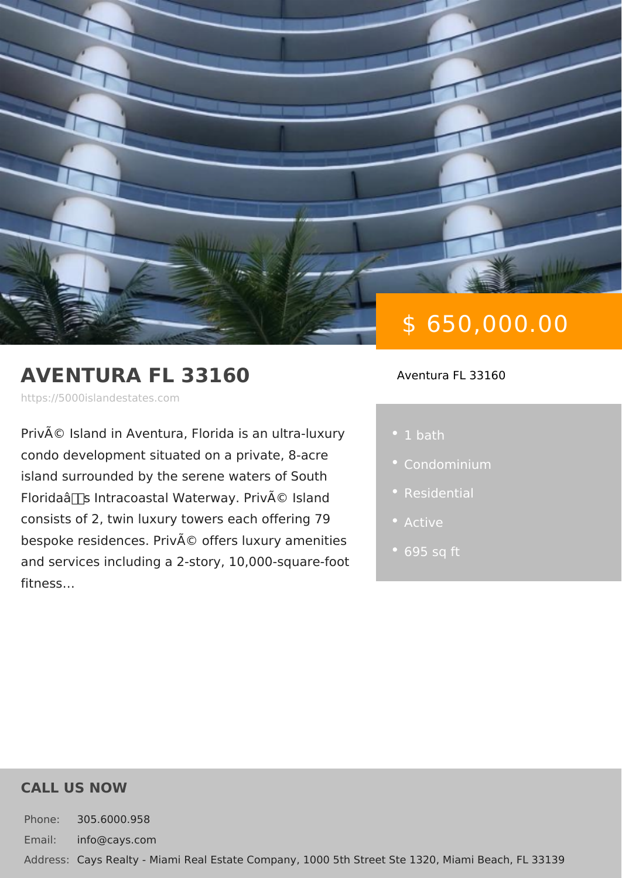# AVENTURA FL 33160

https://5000islandestates.com

Privé Island in Aventura, Florida is ar • 1 bath condo development situated on a privat island surrounded by the serene waters Florida's Intracoastal Waterway. Pri consists of  $2$ , twin luxury towers each  $c$ bespoke residences. Privé offers luxu and services including a  $2$ -story, 10,000 fitness &

\$ 650,000.00

#### Aventura FL 33160

- 
- 
- 
- 
- 

#### CALL US NOW

Phone: 305.6000.958 Email: info@cays.com Addres Cays Realty - Miami Real Estate Company, 1000 5th Street Ste 1320, Mia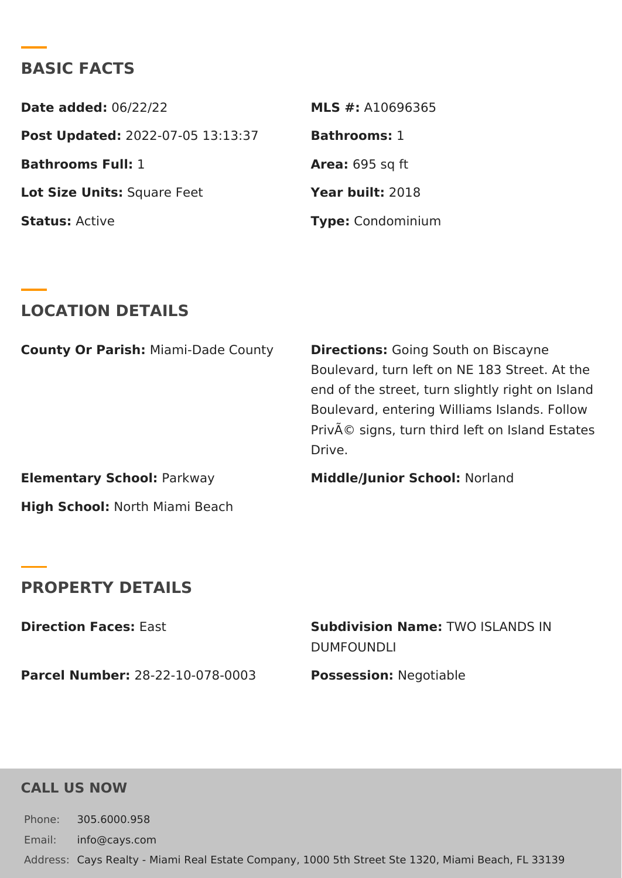# BASIC FACTS

| Date added $0.6/22/22$                     | MLS #:A10696365  |
|--------------------------------------------|------------------|
| Post Update @022-07-05 13:13:37 Bathroomst |                  |
| Bathrooms Full:                            | Area:695 sq ft   |
| Lot Size Unifsquare Feet                   | Year buil 2:018  |
| StatusActive                               | Type Condominium |

### LOCATION DETAILS

|                         | County Or PariMhami-Dade CountDirectionsGoing South on Biscayne |
|-------------------------|-----------------------------------------------------------------|
|                         | Boulevard, turn left on NE 183 Stre                             |
|                         | end of the street, turn slightly righ                           |
|                         | Boulevard, entering Williams Islan                              |
|                         | Privé signs, turn third left on Isl                             |
|                         | Drive.                                                          |
| Elementary SchoPoarkway | Middle/Junior SchNolland                                        |

High SchooN: orth Miami Beach

#### PROPERTY DETAILS

| Direction FaceEsast                                | Subdivision NamTeWO ISLANDS IN |  |  |
|----------------------------------------------------|--------------------------------|--|--|
|                                                    | DUMFOUNDLI                     |  |  |
| Parcel Numbe28-22-10-078-0003 PossessionNegotiable |                                |  |  |

CALL US NOW

Phone: 305.6000.958 Email: info@cays.com Addres Cays Realty - Miami Real Estate Company, 1000 5th Street Ste 1320, Mia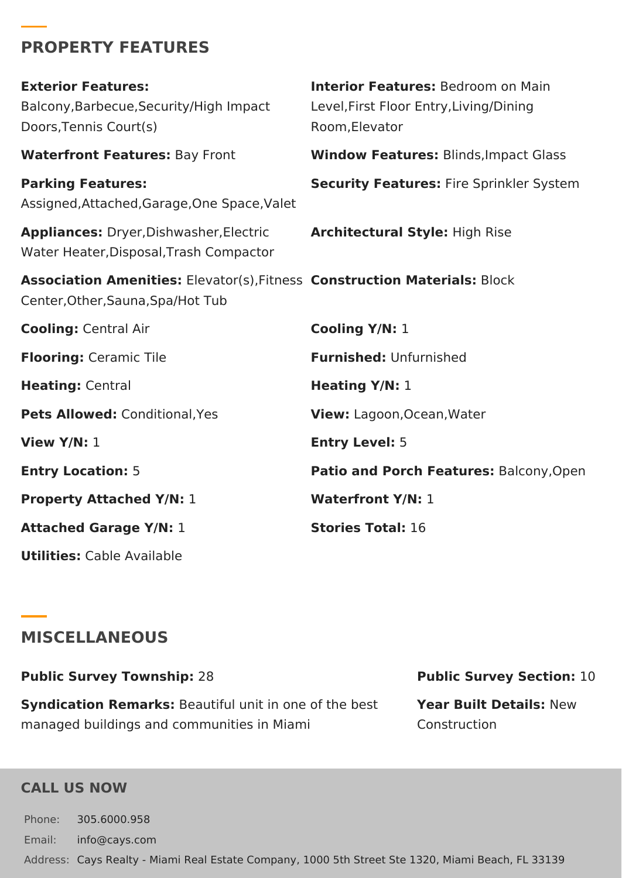## **PROPERTY FEATURES**

| <b>Exterior Features:</b><br>Balcony, Barbecue, Security/High Impact<br>Doors, Tennis Court(s)                 | <b>Interior Features: Bedroom on Main</b><br>Level, First Floor Entry, Living/Dining<br>Room, Elevator |
|----------------------------------------------------------------------------------------------------------------|--------------------------------------------------------------------------------------------------------|
| <b>Waterfront Features: Bay Front</b>                                                                          | <b>Window Features: Blinds, Impact Glass</b>                                                           |
| <b>Parking Features:</b><br>Assigned, Attached, Garage, One Space, Valet                                       | <b>Security Features: Fire Sprinkler System</b>                                                        |
| Appliances: Dryer, Dishwasher, Electric<br>Water Heater, Disposal, Trash Compactor                             | <b>Architectural Style: High Rise</b>                                                                  |
| Association Amenities: Elevator(s), Fitness Construction Materials: Block<br>Center, Other, Sauna, Spa/Hot Tub |                                                                                                        |
| <b>Cooling: Central Air</b>                                                                                    | Cooling Y/N: 1                                                                                         |
| <b>Flooring: Ceramic Tile</b>                                                                                  | <b>Furnished: Unfurnished</b>                                                                          |
| <b>Heating: Central</b>                                                                                        | <b>Heating Y/N: 1</b>                                                                                  |
| Pets Allowed: Conditional, Yes                                                                                 | View: Lagoon, Ocean, Water                                                                             |
| View $Y/N: 1$                                                                                                  | <b>Entry Level: 5</b>                                                                                  |
| <b>Entry Location: 5</b>                                                                                       | Patio and Porch Features: Balcony, Open                                                                |
| <b>Property Attached Y/N: 1</b>                                                                                | <b>Waterfront Y/N: 1</b>                                                                               |
| <b>Attached Garage Y/N: 1</b>                                                                                  | <b>Stories Total: 16</b>                                                                               |
| <b>Utilities:</b> Cable Available                                                                              |                                                                                                        |

# **MISCELLANEOUS**

**Public Survey Township:** 28 **Public Survey Section:** 10 **Syndication Remarks:** Beautiful unit in one of the best managed buildings and communities in Miami **Year Built Details:** New Construction

#### **CALL US NOW**

Phone: 305.6000.958 Email: info@cays.com Address: Cays Realty - Miami Real Estate Company, 1000 5th Street Ste 1320, Miami Beach, FL 33139